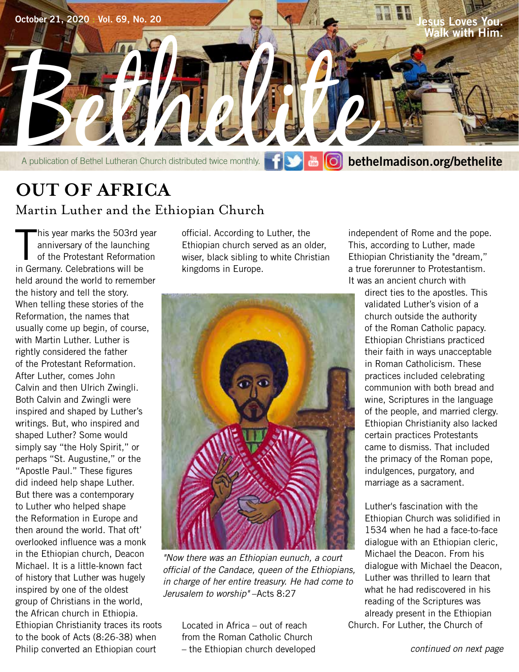

# **OUT OF AFRICA** Martin Luther and the Ethiopian Church

 $\prod_{i=1}^n$ his year marks the 503rd year anniversary of the launching of the Protestant Reformation in Germany. Celebrations will be held around the world to remember the history and tell the story. When telling these stories of the Reformation, the names that usually come up begin, of course, with Martin Luther. Luther is rightly considered the father of the Protestant Reformation. After Luther, comes John Calvin and then Ulrich Zwingli. Both Calvin and Zwingli were inspired and shaped by Luther's writings. But, who inspired and shaped Luther? Some would simply say "the Holy Spirit," or perhaps "St. Augustine," or the "Apostle Paul." These figures did indeed help shape Luther. But there was a contemporary to Luther who helped shape the Reformation in Europe and then around the world. That oft' overlooked influence was a monk in the Ethiopian church, Deacon Michael. It is a little-known fact of history that Luther was hugely inspired by one of the oldest group of Christians in the world, the African church in Ethiopia. Ethiopian Christianity traces its roots to the book of Acts (8:26-38) when Philip converted an Ethiopian court

official. According to Luther, the Ethiopian church served as an older, wiser, black sibling to white Christian kingdoms in Europe.



*"Now there was an Ethiopian eunuch, a court official of the Candace, queen of the Ethiopians, in charge of her entire treasury. He had come to Jerusalem to worship"* –Acts 8:27

Located in Africa – out of reach from the Roman Catholic Church – the Ethiopian church developed

independent of Rome and the pope. This, according to Luther, made Ethiopian Christianity the "dream," a true forerunner to Protestantism. It was an ancient church with

direct ties to the apostles. This validated Luther's vision of a church outside the authority of the Roman Catholic papacy. Ethiopian Christians practiced their faith in ways unacceptable in Roman Catholicism. These practices included celebrating communion with both bread and wine, Scriptures in the language of the people, and married clergy. Ethiopian Christianity also lacked certain practices Protestants came to dismiss. That included the primacy of the Roman pope, indulgences, purgatory, and marriage as a sacrament.

Luther's fascination with the Ethiopian Church was solidified in 1534 when he had a face-to-face dialogue with an Ethiopian cleric, Michael the Deacon. From his dialogue with Michael the Deacon, Luther was thrilled to learn that what he had rediscovered in his reading of the Scriptures was already present in the Ethiopian Church. For Luther, the Church of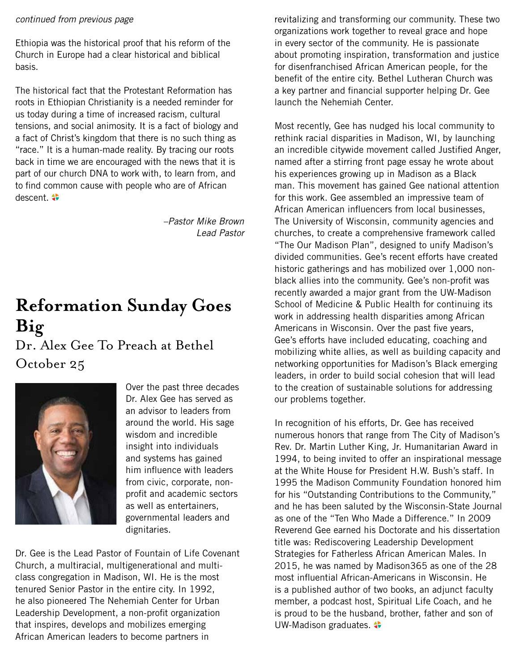### *continued from previous page*

Ethiopia was the historical proof that his reform of the Church in Europe had a clear historical and biblical basis.

The historical fact that the Protestant Reformation has roots in Ethiopian Christianity is a needed reminder for us today during a time of increased racism, cultural tensions, and social animosity. It is a fact of biology and a fact of Christ's kingdom that there is no such thing as "race." It is a human-made reality. By tracing our roots back in time we are encouraged with the news that it is part of our church DNA to work with, to learn from, and to find common cause with people who are of African descent.  $\clubsuit$ 

> *–Pastor Mike Brown Lead Pastor*

# **Reformation Sunday Goes Big**

Dr. Alex Gee To Preach at Bethel October 25



Over the past three decades Dr. Alex Gee has served as an advisor to leaders from around the world. His sage wisdom and incredible insight into individuals and systems has gained him influence with leaders from civic, corporate, nonprofit and academic sectors as well as entertainers, governmental leaders and dignitaries.

Dr. Gee is the Lead Pastor of Fountain of Life Covenant Church, a multiracial, multigenerational and multiclass congregation in Madison, WI. He is the most tenured Senior Pastor in the entire city. In 1992, he also pioneered The Nehemiah Center for Urban Leadership Development, a non-profit organization that inspires, develops and mobilizes emerging African American leaders to become partners in

revitalizing and transforming our community. These two organizations work together to reveal grace and hope in every sector of the community. He is passionate about promoting inspiration, transformation and justice for disenfranchised African American people, for the benefit of the entire city. Bethel Lutheran Church was a key partner and financial supporter helping Dr. Gee launch the Nehemiah Center.

Most recently, Gee has nudged his local community to rethink racial disparities in Madison, WI, by launching an incredible citywide movement called Justified Anger, named after a stirring front page essay he wrote about his experiences growing up in Madison as a Black man. This movement has gained Gee national attention for this work. Gee assembled an impressive team of African American influencers from local businesses, The University of Wisconsin, community agencies and churches, to create a comprehensive framework called "The Our Madison Plan", designed to unify Madison's divided communities. Gee's recent efforts have created historic gatherings and has mobilized over 1,000 nonblack allies into the community. Gee's non-profit was recently awarded a major grant from the UW-Madison School of Medicine & Public Health for continuing its work in addressing health disparities among African Americans in Wisconsin. Over the past five years, Gee's efforts have included educating, coaching and mobilizing white allies, as well as building capacity and networking opportunities for Madison's Black emerging leaders, in order to build social cohesion that will lead to the creation of sustainable solutions for addressing our problems together.

In recognition of his efforts, Dr. Gee has received numerous honors that range from The City of Madison's Rev. Dr. Martin Luther King, Jr. Humanitarian Award in 1994, to being invited to offer an inspirational message at the White House for President H.W. Bush's staff. In 1995 the Madison Community Foundation honored him for his "Outstanding Contributions to the Community," and he has been saluted by the Wisconsin-State Journal as one of the "Ten Who Made a Difference." In 2009 Reverend Gee earned his Doctorate and his dissertation title was: Rediscovering Leadership Development Strategies for Fatherless African American Males. In 2015, he was named by Madison365 as one of the 28 most influential African-Americans in Wisconsin. He is a published author of two books, an adjunct faculty member, a podcast host, Spiritual Life Coach, and he is proud to be the husband, brother, father and son of UW-Madison graduates.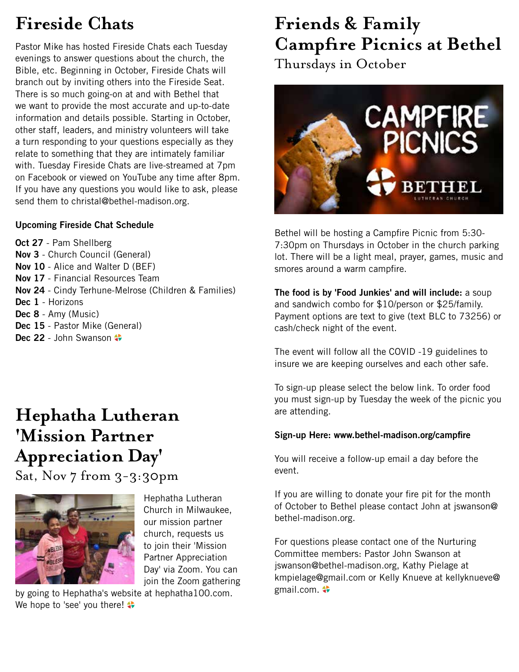# **Fireside Chats**

Pastor Mike has hosted Fireside Chats each Tuesday evenings to answer questions about the church, the Bible, etc. Beginning in October, Fireside Chats will branch out by inviting others into the Fireside Seat. There is so much going-on at and with Bethel that we want to provide the most accurate and up-to-date information and details possible. Starting in October, other staff, leaders, and ministry volunteers will take a turn responding to your questions especially as they relate to something that they are intimately familiar with. Tuesday Fireside Chats are live-streamed at 7pm on Facebook or viewed on YouTube any time after 8pm. If you have any questions you would like to ask, please send them to christal@bethel-madison.org.

### **Upcoming Fireside Chat Schedule**

**Oct 27** - Pam Shellberg **Nov 3** - Church Council (General) **Nov 10** - Alice and Walter D (BEF) **Nov 17** - Financial Resources Team **Nov 24** - Cindy Terhune-Melrose (Children & Families) **Dec 1** - Horizons **Dec 8** - Amy (Music) **Dec 15** - Pastor Mike (General) Dec 22 - John Swanson  $\clubsuit$ 

# **Hephatha Lutheran 'Mission Partner Appreciation Day'**

Sat, Nov 7 from 3-3:30pm



Hephatha Lutheran Church in Milwaukee, our mission partner church, requests us to join their 'Mission Partner Appreciation Day' via Zoom. You can join the Zoom gathering

by going to Hephatha's website at hephatha100.com. We hope to 'see' you there!

# **Friends & Family Campfire Picnics at Bethel**

Thursdays in October



Bethel will be hosting a Campfire Picnic from 5:30- 7:30pm on Thursdays in October in the church parking lot. There will be a light meal, prayer, games, music and smores around a warm campfire.

**The food is by 'Food Junkies' and will include:** a soup and sandwich combo for \$10/person or \$25/family. Payment options are text to give (text BLC to 73256) or cash/check night of the event.

The event will follow all the COVID -19 guidelines to insure we are keeping ourselves and each other safe.

To sign-up please select the below link. To order food you must sign-up by Tuesday the week of the picnic you are attending.

### **Sign-up Here: www.bethel-madison.org/campfire**

You will receive a follow-up email a day before the event.

If you are willing to donate your fire pit for the month of October to Bethel please contact John at jswanson@ bethel-madison.org.

For questions please contact one of the Nurturing Committee members: Pastor John Swanson at jswanson@bethel-madison.org, Kathy Pielage at kmpielage@gmail.com or Kelly Knueve at kellyknueve@ gmail.com.  $\clubsuit$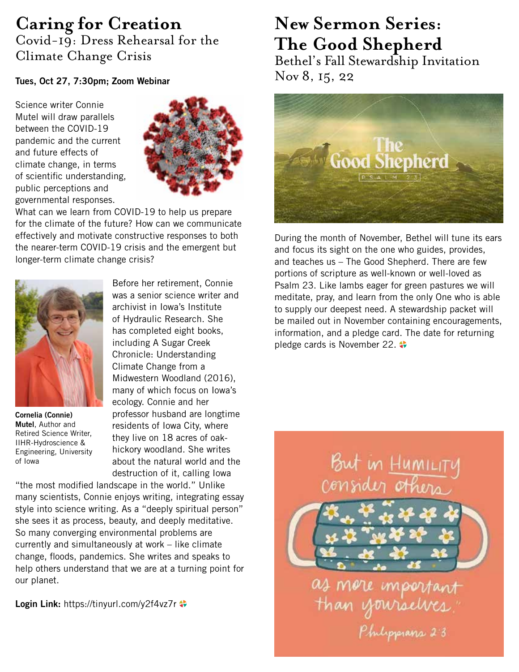## **Caring for Creation** Covid-19: Dress Rehearsal for the Climate Change Crisis

### **Tues, Oct 27, 7:30pm; Zoom Webinar**

Science writer Connie Mutel will draw parallels between the COVID-19 pandemic and the current and future effects of climate change, in terms of scientific understanding, public perceptions and governmental responses.



What can we learn from COVID-19 to help us prepare for the climate of the future? How can we communicate effectively and motivate constructive responses to both the nearer-term COVID-19 crisis and the emergent but longer-term climate change crisis?



**Cornelia (Connie) Mutel**, Author and Retired Science Writer, IIHR-Hydroscience & Engineering, University of Iowa

Before her retirement, Connie was a senior science writer and archivist in Iowa's Institute of Hydraulic Research. She has completed eight books, including A Sugar Creek Chronicle: Understanding Climate Change from a Midwestern Woodland (2016), many of which focus on Iowa's ecology. Connie and her professor husband are longtime residents of Iowa City, where they live on 18 acres of oakhickory woodland. She writes about the natural world and the destruction of it, calling Iowa

"the most modified landscape in the world." Unlike many scientists, Connie enjoys writing, integrating essay style into science writing. As a "deeply spiritual person" she sees it as process, beauty, and deeply meditative. So many converging environmental problems are currently and simultaneously at work – like climate change, floods, pandemics. She writes and speaks to help others understand that we are at a turning point for our planet.

**Login Link:** https://tinyurl.com/y2f4vz7r

# **New Sermon Series: The Good Shepherd**

Bethel's Fall Stewardship Invitation Nov 8, 15, 22



During the month of November, Bethel will tune its ears and focus its sight on the one who guides, provides, and teaches us – The Good Shepherd. There are few portions of scripture as well-known or well-loved as Psalm 23. Like lambs eager for green pastures we will meditate, pray, and learn from the only One who is able to supply our deepest need. A stewardship packet will be mailed out in November containing encouragements, information, and a pledge card. The date for returning pledge cards is November 22.



as more import<br>Than yourselv Philipperans 2.3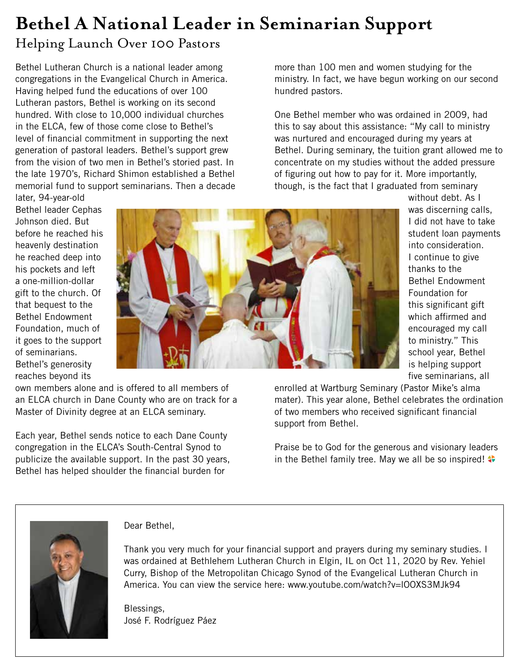# **Bethel A National Leader in Seminarian Support**

## Helping Launch Over 100 Pastors

Bethel Lutheran Church is a national leader among congregations in the Evangelical Church in America. Having helped fund the educations of over 100 Lutheran pastors, Bethel is working on its second hundred. With close to 10,000 individual churches in the ELCA, few of those come close to Bethel's level of financial commitment in supporting the next generation of pastoral leaders. Bethel's support grew from the vision of two men in Bethel's storied past. In the late 1970's, Richard Shimon established a Bethel memorial fund to support seminarians. Then a decade more than 100 men and women studying for the ministry. In fact, we have begun working on our second hundred pastors.

One Bethel member who was ordained in 2009, had this to say about this assistance: "My call to ministry was nurtured and encouraged during my years at Bethel. During seminary, the tuition grant allowed me to concentrate on my studies without the added pressure of figuring out how to pay for it. More importantly, though, is the fact that I graduated from seminary

later, 94-year-old Bethel leader Cephas Johnson died. But before he reached his heavenly destination he reached deep into his pockets and left a one-million-dollar gift to the church. Of that bequest to the Bethel Endowment Foundation, much of it goes to the support of seminarians. Bethel's generosity reaches beyond its own members alone and is offered to all members of



without debt. As I was discerning calls, I did not have to take student loan payments into consideration. I continue to give thanks to the Bethel Endowment Foundation for this significant gift which affirmed and encouraged my call to ministry." This school year, Bethel is helping support five seminarians, all

enrolled at Wartburg Seminary (Pastor Mike's alma mater). This year alone, Bethel celebrates the ordination of two members who received significant financial support from Bethel.

Praise be to God for the generous and visionary leaders in the Bethel family tree. May we all be so inspired!



Dear Bethel,

an ELCA church in Dane County who are on track for a

Each year, Bethel sends notice to each Dane County congregation in the ELCA's South-Central Synod to publicize the available support. In the past 30 years, Bethel has helped shoulder the financial burden for

Master of Divinity degree at an ELCA seminary.

Thank you very much for your financial support and prayers during my seminary studies. I was ordained at Bethlehem Lutheran Church in Elgin, IL on Oct 11, 2020 by Rev. Yehiel Curry, Bishop of the Metropolitan Chicago Synod of the Evangelical Lutheran Church in America. You can view the service here: www.youtube.com/watch?v=lOOXS3MJk94

Blessings, José F. Rodríguez Páez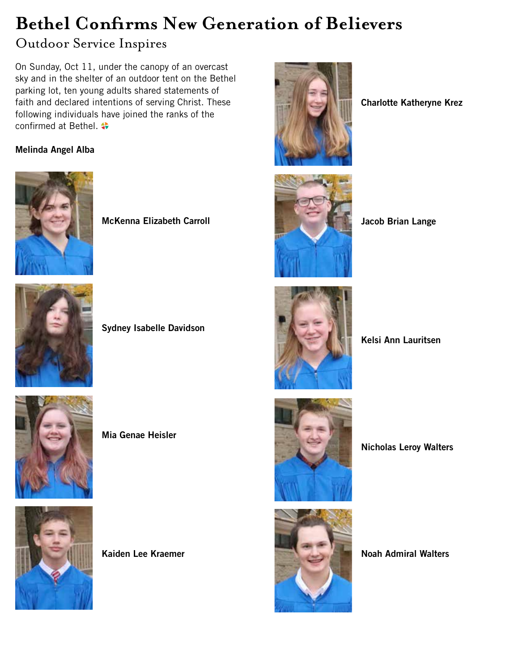# **Bethel Confirms New Generation of Believers**

## Outdoor Service Inspires

On Sunday, Oct 11, under the canopy of an overcast sky and in the shelter of an outdoor tent on the Bethel parking lot, ten young adults shared statements of faith and declared intentions of serving Christ. These following individuals have joined the ranks of the confirmed at Bethel.

## **Melinda Angel Alba**



**McKenna Elizabeth Carroll**



**Sydney Isabelle Davidson**



**Mia Genae Heisler**



**Kaiden Lee Kraemer**



**Charlotte Katheryne Krez**



**Jacob Brian Lange**



**Kelsi Ann Lauritsen**



**Nicholas Leroy Walters**



**Noah Admiral Walters**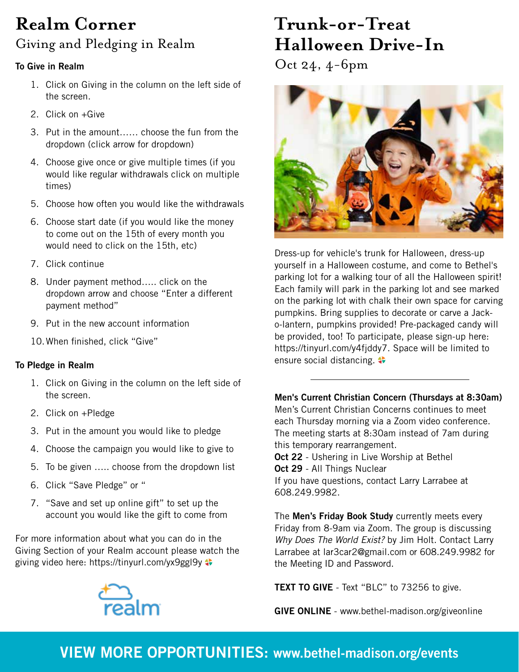# **Realm Corner** Giving and Pledging in Realm

### **To Give in Realm**

- 1. Click on Giving in the column on the left side of the screen.
- 2. Click on +Give
- 3. Put in the amount…… choose the fun from the dropdown (click arrow for dropdown)
- 4. Choose give once or give multiple times (if you would like regular withdrawals click on multiple times)
- 5. Choose how often you would like the withdrawals
- 6. Choose start date (if you would like the money to come out on the 15th of every month you would need to click on the 15th, etc)
- 7. Click continue
- 8. Under payment method….. click on the dropdown arrow and choose "Enter a different payment method"
- 9. Put in the new account information
- 10.When finished, click "Give"

### **To Pledge in Realm**

- 1. Click on Giving in the column on the left side of the screen.
- 2. Click on +Pledge
- 3. Put in the amount you would like to pledge
- 4. Choose the campaign you would like to give to
- 5. To be given ….. choose from the dropdown list
- 6. Click "Save Pledge" or "
- 7. "Save and set up online gift" to set up the account you would like the gift to come from

For more information about what you can do in the Giving Section of your Realm account please watch the giving video here: https://tinyurl.com/yx9ggl9y



# **Trunk-or-Treat Halloween Drive-In**

Oct 24, 4-6pm



Dress-up for vehicle's trunk for Halloween, dress-up yourself in a Halloween costume, and come to Bethel's parking lot for a walking tour of all the Halloween spirit! Each family will park in the parking lot and see marked on the parking lot with chalk their own space for carving pumpkins. Bring supplies to decorate or carve a Jacko-lantern, pumpkins provided! Pre-packaged candy will be provided, too! To participate, please sign-up here: https://tinyurl.com/y4fjddy7. Space will be limited to ensure social distancing.  $\bullet$ 

**Men's Current Christian Concern (Thursdays at 8:30am)** Men's Current Christian Concerns continues to meet each Thursday morning via a Zoom video conference. The meeting starts at 8:30am instead of 7am during this temporary rearrangement. **Oct 22** - Ushering in Live Worship at Bethel **Oct 29** - All Things Nuclear If you have questions, contact Larry Larrabee at 608.249.9982.

The **Men's Friday Book Study** currently meets every Friday from 8-9am via Zoom. The group is discussing *Why Does The World Exist?* by Jim Holt. Contact Larry Larrabee at lar3car2@gmail.com or 608.249.9982 for the Meeting ID and Password.

**TEXT TO GIVE** - Text "BLC" to 73256 to give.

**GIVE ONLINE** - www.bethel-madison.org/giveonline

# **VIEW MORE OPPORTUNITIES: www.bethel-madison.org/events**